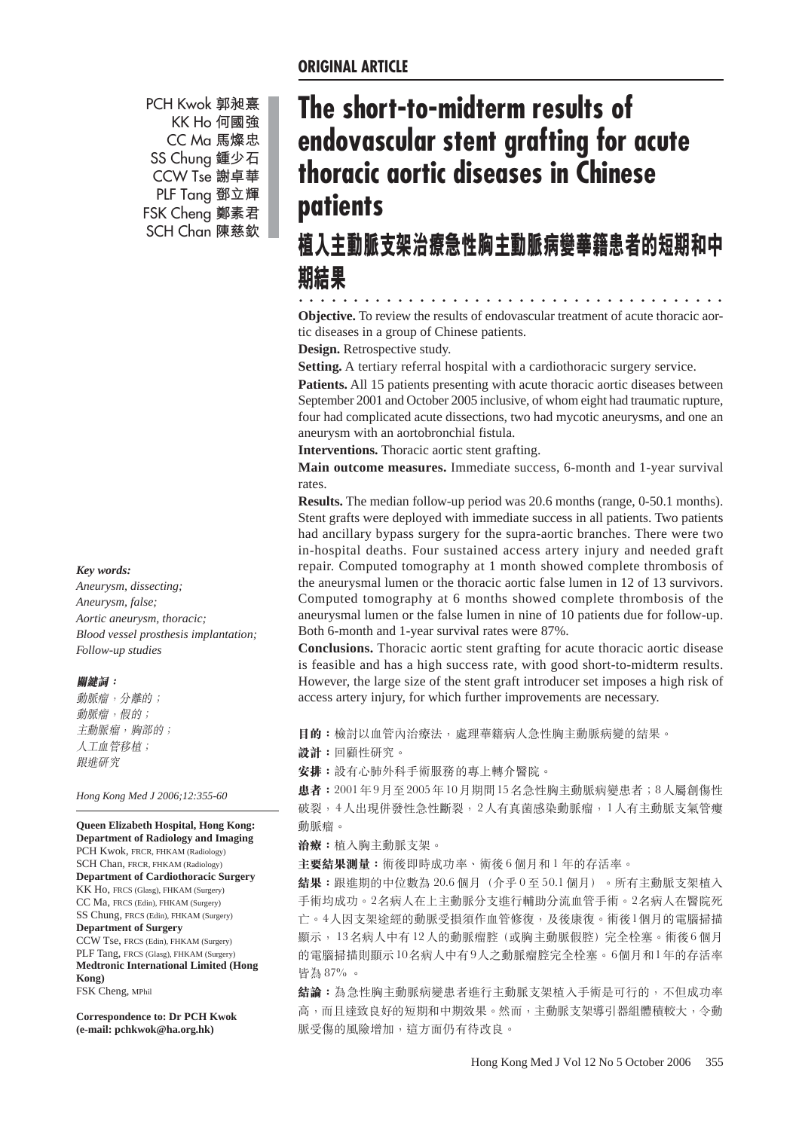PCH Kwok 郭昶熹 KK Ho 何國強 CC Ma 馬燦忠 SS Chung 鍾少石 CCW Tse 謝卓華 PLF Tang 鄧立輝 FSK Cheng 鄭素君 SCH Chan 陳慈欽

#### *Key words:*

*Aneurysm, dissecting; Aneurysm, false; Aortic aneurysm, thoracic; Blood vessel prosthesis implantation; Follow-up studies*

#### 關鍵詞:

動脈瘤,分離的; 動脈瘤,假的; 主動脈瘤, 胸部的; 人工血管移植; 跟進研究

*Hong Kong Med J 2006;12:355-60*

**Queen Elizabeth Hospital, Hong Kong: Department of Radiology and Imaging** PCH Kwok, FRCR, FHKAM (Radiology) SCH Chan, FRCR, FHKAM (Radiology) **Department of Cardiothoracic Surgery** KK Ho, FRCS (Glasg), FHKAM (Surgery) CC Ma, FRCS (Edin), FHKAM (Surgery) SS Chung, FRCS (Edin), FHKAM (Surgery) **Department of Surgery** CCW Tse, FRCS (Edin), FHKAM (Surgery) PLF Tang, FRCS (Glasg), FHKAM (Surgery) **Medtronic International Limited (Hong Kong)** FSK Cheng, MPhil

**Correspondence to: Dr PCH Kwok (e-mail: pchkwok@ha.org.hk)**

# **The short-to-midterm results of endovascular stent grafting for acute thoracic aortic diseases in Chinese patients**

# 植入主動脈支架治療急性胸主動脈病變華籍患者的短期和中 别結果

○○○ ○○○○○○○○○○○○○○○○○○○○○○○○○○○○○○○○○○○○ **Objective.** To review the results of endovascular treatment of acute thoracic aortic diseases in a group of Chinese patients.

**Design.** Retrospective study.

**Setting.** A tertiary referral hospital with a cardiothoracic surgery service.

**Patients.** All 15 patients presenting with acute thoracic aortic diseases between September 2001 and October 2005 inclusive, of whom eight had traumatic rupture, four had complicated acute dissections, two had mycotic aneurysms, and one an aneurysm with an aortobronchial fistula.

**Interventions.** Thoracic aortic stent grafting.

**Main outcome measures.** Immediate success, 6-month and 1-year survival rates.

**Results.** The median follow-up period was 20.6 months (range, 0-50.1 months). Stent grafts were deployed with immediate success in all patients. Two patients had ancillary bypass surgery for the supra-aortic branches. There were two in-hospital deaths. Four sustained access artery injury and needed graft repair. Computed tomography at 1 month showed complete thrombosis of the aneurysmal lumen or the thoracic aortic false lumen in 12 of 13 survivors. Computed tomography at 6 months showed complete thrombosis of the aneurysmal lumen or the false lumen in nine of 10 patients due for follow-up. Both 6-month and 1-year survival rates were 87%.

**Conclusions.** Thoracic aortic stent grafting for acute thoracic aortic disease is feasible and has a high success rate, with good short-to-midterm results. However, the large size of the stent graft introducer set imposes a high risk of access artery injury, for which further improvements are necessary.

目的:檢討以血管內治療法,處理華籍病人急性胸主動脈病變的結果。

設計:回顧性研究。

安排: 設有心肺外科手術服務的專上轉介醫院。

患者: 2001年9月至2005年10月期間15名急性胸主動脈病變患者; 8人屬創傷性 破裂,4人出現併發性急性斷裂,2人有真菌感染動脈瘤,1人有主動脈支氣管瘻 動脈瘤。

**治療**: 植入胸主動脈支架。

主要結果測量:術後即時成功率、術後6個月和1年的存活率。

結果:跟進期的中位數為 20.6個月 (介乎 0至 50.1個月) 。所有主動脈支架植入 手術均成功。2名病人在上主動脈分支進行輔助分流血管手術。2名病人在醫院死 亡。4人因支架途經的動脈受損須作血管修復,及後康復。術後1個月的電腦掃描 顯示, 13名病人中有12人的動脈瘤腔 (或胸主動脈假腔) 完全栓塞。術後6個月 的電腦掃描則顯示10名病人中有9人之動脈瘤腔完全栓塞。6個月和1年的存活率 皆為 87%。

**結論:**為急性胸主動脈病變患者進行主動脈支架植入手術是可行的,不但成功率 高,而且達致良好的短期和中期效果。然而,主動脈支架導引器組體積較大,令動 脈受傷的風險增加,這方面仍有待改良。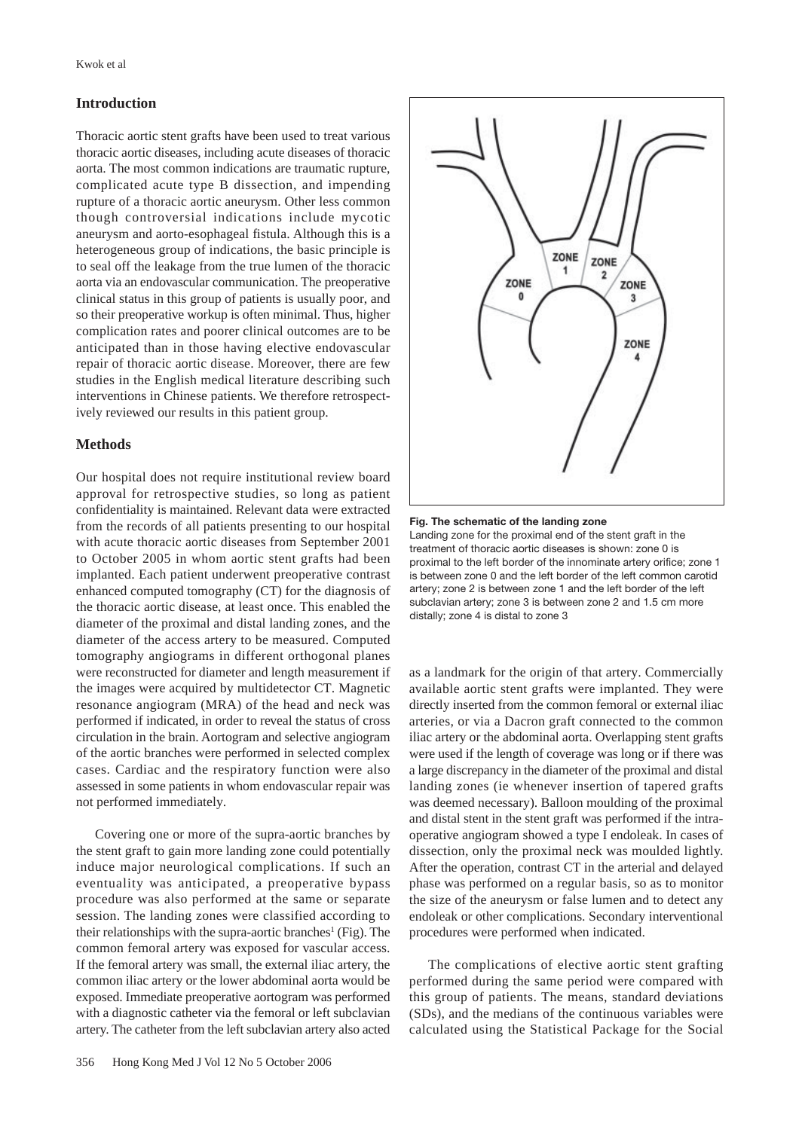## **Introduction**

Thoracic aortic stent grafts have been used to treat various thoracic aortic diseases, including acute diseases of thoracic aorta. The most common indications are traumatic rupture, complicated acute type B dissection, and impending rupture of a thoracic aortic aneurysm. Other less common though controversial indications include mycotic aneurysm and aorto-esophageal fistula. Although this is a heterogeneous group of indications, the basic principle is to seal off the leakage from the true lumen of the thoracic aorta via an endovascular communication. The preoperative clinical status in this group of patients is usually poor, and so their preoperative workup is often minimal. Thus, higher complication rates and poorer clinical outcomes are to be anticipated than in those having elective endovascular repair of thoracic aortic disease. Moreover, there are few studies in the English medical literature describing such interventions in Chinese patients. We therefore retrospectively reviewed our results in this patient group.

## **Methods**

Our hospital does not require institutional review board approval for retrospective studies, so long as patient confidentiality is maintained. Relevant data were extracted from the records of all patients presenting to our hospital with acute thoracic aortic diseases from September 2001 to October 2005 in whom aortic stent grafts had been implanted. Each patient underwent preoperative contrast enhanced computed tomography (CT) for the diagnosis of the thoracic aortic disease, at least once. This enabled the diameter of the proximal and distal landing zones, and the diameter of the access artery to be measured. Computed tomography angiograms in different orthogonal planes were reconstructed for diameter and length measurement if the images were acquired by multidetector CT. Magnetic resonance angiogram (MRA) of the head and neck was performed if indicated, in order to reveal the status of cross circulation in the brain. Aortogram and selective angiogram of the aortic branches were performed in selected complex cases. Cardiac and the respiratory function were also assessed in some patients in whom endovascular repair was not performed immediately.

Covering one or more of the supra-aortic branches by the stent graft to gain more landing zone could potentially induce major neurological complications. If such an eventuality was anticipated, a preoperative bypass procedure was also performed at the same or separate session. The landing zones were classified according to their relationships with the supra-aortic branches<sup>1</sup> (Fig). The common femoral artery was exposed for vascular access. If the femoral artery was small, the external iliac artery, the common iliac artery or the lower abdominal aorta would be exposed. Immediate preoperative aortogram was performed with a diagnostic catheter via the femoral or left subclavian artery. The catheter from the left subclavian artery also acted



#### **Fig. The schematic of the landing zone**

Landing zone for the proximal end of the stent graft in the treatment of thoracic aortic diseases is shown: zone 0 is proximal to the left border of the innominate artery orifice; zone 1 is between zone 0 and the left border of the left common carotid artery; zone 2 is between zone 1 and the left border of the left subclavian artery; zone 3 is between zone 2 and 1.5 cm more distally; zone 4 is distal to zone 3

as a landmark for the origin of that artery. Commercially available aortic stent grafts were implanted. They were directly inserted from the common femoral or external iliac arteries, or via a Dacron graft connected to the common iliac artery or the abdominal aorta. Overlapping stent grafts were used if the length of coverage was long or if there was a large discrepancy in the diameter of the proximal and distal landing zones (ie whenever insertion of tapered grafts was deemed necessary). Balloon moulding of the proximal and distal stent in the stent graft was performed if the intraoperative angiogram showed a type I endoleak. In cases of dissection, only the proximal neck was moulded lightly. After the operation, contrast CT in the arterial and delayed phase was performed on a regular basis, so as to monitor the size of the aneurysm or false lumen and to detect any endoleak or other complications. Secondary interventional procedures were performed when indicated.

The complications of elective aortic stent grafting performed during the same period were compared with this group of patients. The means, standard deviations (SDs), and the medians of the continuous variables were calculated using the Statistical Package for the Social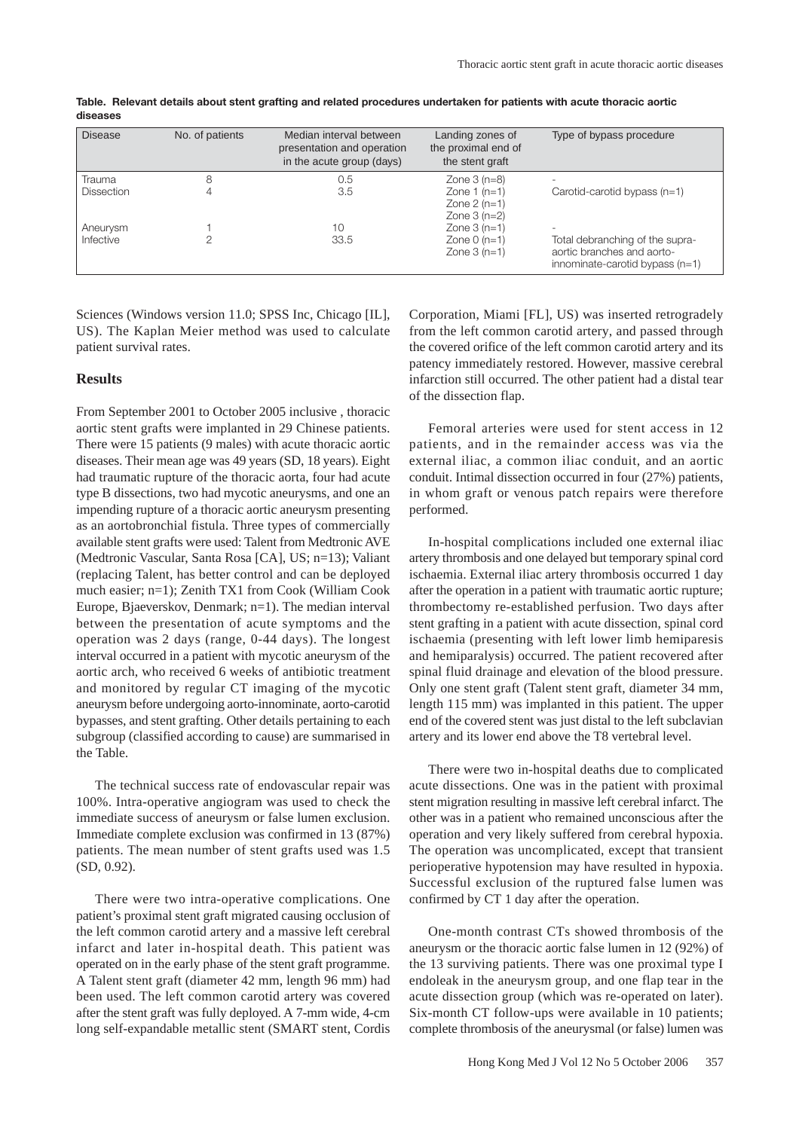| <b>Disease</b>    | No. of patients | Median interval between<br>presentation and operation<br>in the acute group (days) | Landing zones of<br>the proximal end of<br>the stent graft | Type of bypass procedure                                                                           |
|-------------------|-----------------|------------------------------------------------------------------------------------|------------------------------------------------------------|----------------------------------------------------------------------------------------------------|
| Trauma            |                 | 0.5                                                                                | Zone $3$ (n=8)                                             |                                                                                                    |
| <b>Dissection</b> |                 | 3.5                                                                                | Zone $1(n=1)$<br>Zone $2$ (n=1)<br>Zone $3(n=2)$           | Carotid-carotid bypass $(n=1)$                                                                     |
| Aneurysm          |                 | 10                                                                                 | Zone $3(n=1)$                                              | ۰.                                                                                                 |
| Infective         |                 | 33.5                                                                               | Zone $0(n=1)$<br>Zone $3(n=1)$                             | Total debranching of the supra-<br>aortic branches and aorto-<br>innominate-carotid bypass $(n=1)$ |

**Table. Relevant details about stent grafting and related procedures undertaken for patients with acute thoracic aortic diseases**

Sciences (Windows version 11.0; SPSS Inc, Chicago [IL], US). The Kaplan Meier method was used to calculate patient survival rates.

#### **Results**

From September 2001 to October 2005 inclusive , thoracic aortic stent grafts were implanted in 29 Chinese patients. There were 15 patients (9 males) with acute thoracic aortic diseases. Their mean age was 49 years (SD, 18 years). Eight had traumatic rupture of the thoracic aorta, four had acute type B dissections, two had mycotic aneurysms, and one an impending rupture of a thoracic aortic aneurysm presenting as an aortobronchial fistula. Three types of commercially available stent grafts were used: Talent from Medtronic AVE (Medtronic Vascular, Santa Rosa [CA], US; n=13); Valiant (replacing Talent, has better control and can be deployed much easier; n=1); Zenith TX1 from Cook (William Cook Europe, Bjaeverskov, Denmark; n=1). The median interval between the presentation of acute symptoms and the operation was 2 days (range, 0-44 days). The longest interval occurred in a patient with mycotic aneurysm of the aortic arch, who received 6 weeks of antibiotic treatment and monitored by regular CT imaging of the mycotic aneurysm before undergoing aorto-innominate, aorto-carotid bypasses, and stent grafting. Other details pertaining to each subgroup (classified according to cause) are summarised in the Table.

The technical success rate of endovascular repair was 100%. Intra-operative angiogram was used to check the immediate success of aneurysm or false lumen exclusion. Immediate complete exclusion was confirmed in 13 (87%) patients. The mean number of stent grafts used was 1.5 (SD, 0.92).

There were two intra-operative complications. One patient's proximal stent graft migrated causing occlusion of the left common carotid artery and a massive left cerebral infarct and later in-hospital death. This patient was operated on in the early phase of the stent graft programme. A Talent stent graft (diameter 42 mm, length 96 mm) had been used. The left common carotid artery was covered after the stent graft was fully deployed. A 7-mm wide, 4-cm long self-expandable metallic stent (SMART stent, Cordis Corporation, Miami [FL], US) was inserted retrogradely from the left common carotid artery, and passed through the covered orifice of the left common carotid artery and its patency immediately restored. However, massive cerebral infarction still occurred. The other patient had a distal tear of the dissection flap.

Femoral arteries were used for stent access in 12 patients, and in the remainder access was via the external iliac, a common iliac conduit, and an aortic conduit. Intimal dissection occurred in four (27%) patients, in whom graft or venous patch repairs were therefore performed.

In-hospital complications included one external iliac artery thrombosis and one delayed but temporary spinal cord ischaemia. External iliac artery thrombosis occurred 1 day after the operation in a patient with traumatic aortic rupture; thrombectomy re-established perfusion. Two days after stent grafting in a patient with acute dissection, spinal cord ischaemia (presenting with left lower limb hemiparesis and hemiparalysis) occurred. The patient recovered after spinal fluid drainage and elevation of the blood pressure. Only one stent graft (Talent stent graft, diameter 34 mm, length 115 mm) was implanted in this patient. The upper end of the covered stent was just distal to the left subclavian artery and its lower end above the T8 vertebral level.

There were two in-hospital deaths due to complicated acute dissections. One was in the patient with proximal stent migration resulting in massive left cerebral infarct. The other was in a patient who remained unconscious after the operation and very likely suffered from cerebral hypoxia. The operation was uncomplicated, except that transient perioperative hypotension may have resulted in hypoxia. Successful exclusion of the ruptured false lumen was confirmed by CT 1 day after the operation.

One-month contrast CTs showed thrombosis of the aneurysm or the thoracic aortic false lumen in 12 (92%) of the 13 surviving patients. There was one proximal type I endoleak in the aneurysm group, and one flap tear in the acute dissection group (which was re-operated on later). Six-month CT follow-ups were available in 10 patients; complete thrombosis of the aneurysmal (or false) lumen was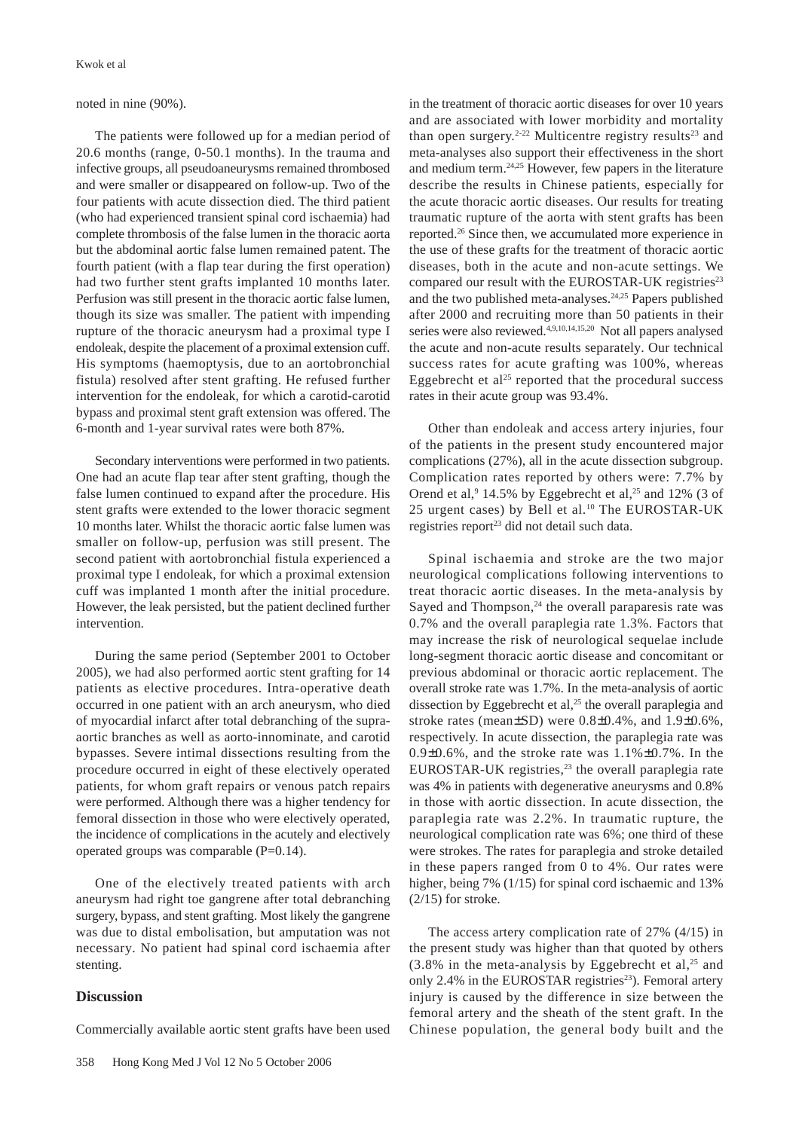noted in nine (90%).

The patients were followed up for a median period of 20.6 months (range, 0-50.1 months). In the trauma and infective groups, all pseudoaneurysms remained thrombosed and were smaller or disappeared on follow-up. Two of the four patients with acute dissection died. The third patient (who had experienced transient spinal cord ischaemia) had complete thrombosis of the false lumen in the thoracic aorta but the abdominal aortic false lumen remained patent. The fourth patient (with a flap tear during the first operation) had two further stent grafts implanted 10 months later. Perfusion was still present in the thoracic aortic false lumen, though its size was smaller. The patient with impending rupture of the thoracic aneurysm had a proximal type I endoleak, despite the placement of a proximal extension cuff. His symptoms (haemoptysis, due to an aortobronchial fistula) resolved after stent grafting. He refused further intervention for the endoleak, for which a carotid-carotid bypass and proximal stent graft extension was offered. The 6-month and 1-year survival rates were both 87%.

Secondary interventions were performed in two patients. One had an acute flap tear after stent grafting, though the false lumen continued to expand after the procedure. His stent grafts were extended to the lower thoracic segment 10 months later. Whilst the thoracic aortic false lumen was smaller on follow-up, perfusion was still present. The second patient with aortobronchial fistula experienced a proximal type I endoleak, for which a proximal extension cuff was implanted 1 month after the initial procedure. However, the leak persisted, but the patient declined further intervention.

During the same period (September 2001 to October 2005), we had also performed aortic stent grafting for 14 patients as elective procedures. Intra-operative death occurred in one patient with an arch aneurysm, who died of myocardial infarct after total debranching of the supraaortic branches as well as aorto-innominate, and carotid bypasses. Severe intimal dissections resulting from the procedure occurred in eight of these electively operated patients, for whom graft repairs or venous patch repairs were performed. Although there was a higher tendency for femoral dissection in those who were electively operated, the incidence of complications in the acutely and electively operated groups was comparable (P=0.14).

One of the electively treated patients with arch aneurysm had right toe gangrene after total debranching surgery, bypass, and stent grafting. Most likely the gangrene was due to distal embolisation, but amputation was not necessary. No patient had spinal cord ischaemia after stenting.

# **Discussion**

Commercially available aortic stent grafts have been used

in the treatment of thoracic aortic diseases for over 10 years and are associated with lower morbidity and mortality than open surgery.<sup>2-22</sup> Multicentre registry results<sup>23</sup> and meta-analyses also support their effectiveness in the short and medium term.24,25 However, few papers in the literature describe the results in Chinese patients, especially for the acute thoracic aortic diseases. Our results for treating traumatic rupture of the aorta with stent grafts has been reported.26 Since then, we accumulated more experience in the use of these grafts for the treatment of thoracic aortic diseases, both in the acute and non-acute settings. We compared our result with the EUROSTAR-UK registries<sup>23</sup> and the two published meta-analyses.<sup>24,25</sup> Papers published after 2000 and recruiting more than 50 patients in their series were also reviewed.<sup>4,9,10,14,15,20</sup> Not all papers analysed the acute and non-acute results separately. Our technical success rates for acute grafting was 100%, whereas Eggebrecht et al<sup>25</sup> reported that the procedural success rates in their acute group was 93.4%.

Other than endoleak and access artery injuries, four of the patients in the present study encountered major complications (27%), all in the acute dissection subgroup. Complication rates reported by others were: 7.7% by Orend et al,<sup>9</sup> 14.5% by Eggebrecht et al,<sup>25</sup> and 12% (3 of 25 urgent cases) by Bell et al.<sup>10</sup> The EUROSTAR-UK registries report<sup>23</sup> did not detail such data.

Spinal ischaemia and stroke are the two major neurological complications following interventions to treat thoracic aortic diseases. In the meta-analysis by Sayed and Thompson,<sup>24</sup> the overall paraparesis rate was 0.7% and the overall paraplegia rate 1.3%. Factors that may increase the risk of neurological sequelae include long-segment thoracic aortic disease and concomitant or previous abdominal or thoracic aortic replacement. The overall stroke rate was 1.7%. In the meta-analysis of aortic dissection by Eggebrecht et al,<sup>25</sup> the overall paraplegia and stroke rates (mean $\pm$ SD) were 0.8 $\pm$ 0.4%, and 1.9 $\pm$ 0.6%, respectively. In acute dissection, the paraplegia rate was  $0.9\pm0.6\%$ , and the stroke rate was  $1.1\% \pm 0.7\%$ . In the EUROSTAR-UK registries,<sup>23</sup> the overall paraplegia rate was 4% in patients with degenerative aneurysms and 0.8% in those with aortic dissection. In acute dissection, the paraplegia rate was 2.2%. In traumatic rupture, the neurological complication rate was 6%; one third of these were strokes. The rates for paraplegia and stroke detailed in these papers ranged from 0 to 4%. Our rates were higher, being 7% (1/15) for spinal cord ischaemic and 13%  $(2/15)$  for stroke.

The access artery complication rate of 27% (4/15) in the present study was higher than that quoted by others  $(3.8\%$  in the meta-analysis by Eggebrecht et al,<sup>25</sup> and only 2.4% in the EUROSTAR registries<sup>23</sup>). Femoral artery injury is caused by the difference in size between the femoral artery and the sheath of the stent graft. In the Chinese population, the general body built and the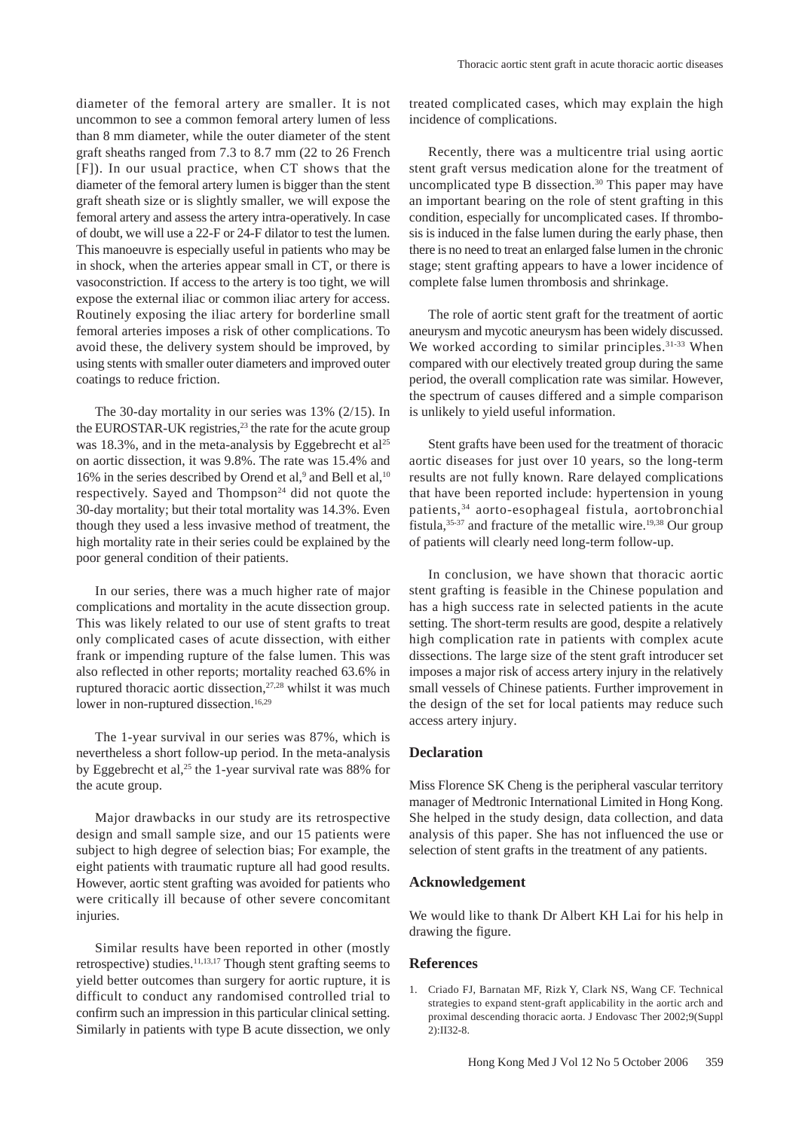diameter of the femoral artery are smaller. It is not uncommon to see a common femoral artery lumen of less than 8 mm diameter, while the outer diameter of the stent graft sheaths ranged from 7.3 to 8.7 mm (22 to 26 French [F]). In our usual practice, when CT shows that the diameter of the femoral artery lumen is bigger than the stent graft sheath size or is slightly smaller, we will expose the femoral artery and assess the artery intra-operatively. In case of doubt, we will use a 22-F or 24-F dilator to test the lumen. This manoeuvre is especially useful in patients who may be in shock, when the arteries appear small in CT, or there is vasoconstriction. If access to the artery is too tight, we will expose the external iliac or common iliac artery for access. Routinely exposing the iliac artery for borderline small femoral arteries imposes a risk of other complications. To avoid these, the delivery system should be improved, by using stents with smaller outer diameters and improved outer coatings to reduce friction.

The 30-day mortality in our series was 13% (2/15). In the EUROSTAR-UK registries, $23$  the rate for the acute group was 18.3%, and in the meta-analysis by Eggebrecht et  $al^{25}$ on aortic dissection, it was 9.8%. The rate was 15.4% and 16% in the series described by Orend et al, $9$  and Bell et al, $10$ respectively. Sayed and Thompson $24$  did not quote the 30-day mortality; but their total mortality was 14.3%. Even though they used a less invasive method of treatment, the high mortality rate in their series could be explained by the poor general condition of their patients.

In our series, there was a much higher rate of major complications and mortality in the acute dissection group. This was likely related to our use of stent grafts to treat only complicated cases of acute dissection, with either frank or impending rupture of the false lumen. This was also reflected in other reports; mortality reached 63.6% in ruptured thoracic aortic dissection,27,28 whilst it was much lower in non-ruptured dissection.<sup>16,29</sup>

The 1-year survival in our series was 87%, which is nevertheless a short follow-up period. In the meta-analysis by Eggebrecht et al,<sup>25</sup> the 1-year survival rate was 88% for the acute group.

Major drawbacks in our study are its retrospective design and small sample size, and our 15 patients were subject to high degree of selection bias; For example, the eight patients with traumatic rupture all had good results. However, aortic stent grafting was avoided for patients who were critically ill because of other severe concomitant injuries.

Similar results have been reported in other (mostly retrospective) studies.<sup>11,13,17</sup> Though stent grafting seems to yield better outcomes than surgery for aortic rupture, it is difficult to conduct any randomised controlled trial to confirm such an impression in this particular clinical setting. Similarly in patients with type B acute dissection, we only treated complicated cases, which may explain the high incidence of complications.

Recently, there was a multicentre trial using aortic stent graft versus medication alone for the treatment of uncomplicated type B dissection. $30$  This paper may have an important bearing on the role of stent grafting in this condition, especially for uncomplicated cases. If thrombosis is induced in the false lumen during the early phase, then there is no need to treat an enlarged false lumen in the chronic stage; stent grafting appears to have a lower incidence of complete false lumen thrombosis and shrinkage.

The role of aortic stent graft for the treatment of aortic aneurysm and mycotic aneurysm has been widely discussed. We worked according to similar principles.<sup>31-33</sup> When compared with our electively treated group during the same period, the overall complication rate was similar. However, the spectrum of causes differed and a simple comparison is unlikely to yield useful information.

Stent grafts have been used for the treatment of thoracic aortic diseases for just over 10 years, so the long-term results are not fully known. Rare delayed complications that have been reported include: hypertension in young patients,34 aorto-esophageal fistula, aortobronchial fistula,<sup>35-37</sup> and fracture of the metallic wire.<sup>19,38</sup> Our group of patients will clearly need long-term follow-up.

In conclusion, we have shown that thoracic aortic stent grafting is feasible in the Chinese population and has a high success rate in selected patients in the acute setting. The short-term results are good, despite a relatively high complication rate in patients with complex acute dissections. The large size of the stent graft introducer set imposes a major risk of access artery injury in the relatively small vessels of Chinese patients. Further improvement in the design of the set for local patients may reduce such access artery injury.

#### **Declaration**

Miss Florence SK Cheng is the peripheral vascular territory manager of Medtronic International Limited in Hong Kong. She helped in the study design, data collection, and data analysis of this paper. She has not influenced the use or selection of stent grafts in the treatment of any patients.

#### **Acknowledgement**

We would like to thank Dr Albert KH Lai for his help in drawing the figure.

#### **References**

1. Criado FJ, Barnatan MF, Rizk Y, Clark NS, Wang CF. Technical strategies to expand stent-graft applicability in the aortic arch and proximal descending thoracic aorta. J Endovasc Ther 2002;9(Suppl 2):II32-8.